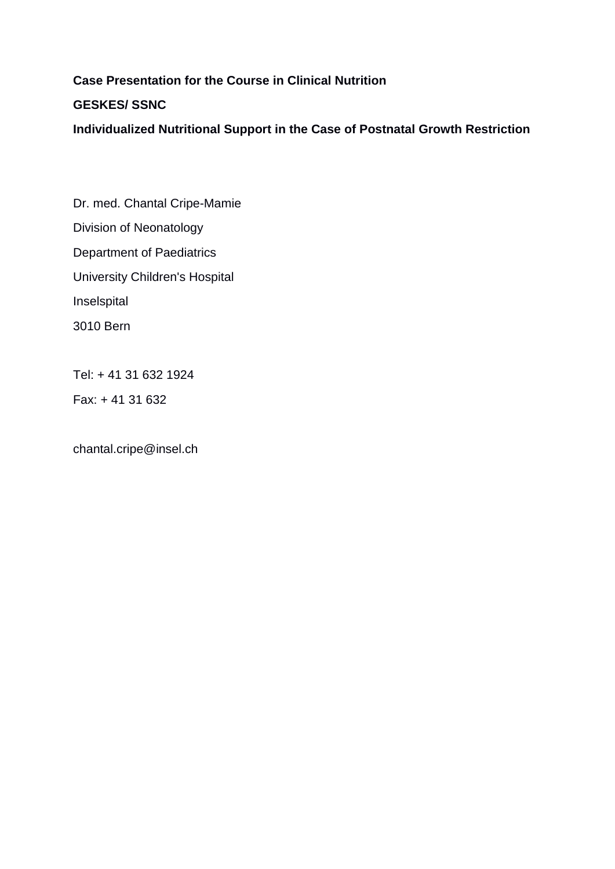# **Case Presentation for the Course in Clinical Nutrition**

# **GESKES/ SSNC**

**Individualized Nutritional Support in the Case of Postnatal Growth Restriction**

Dr. med. Chantal Cripe-Mamie Division of Neonatology Department of Paediatrics University Children's Hospital Inselspital 3010 Bern

Tel: + 41 31 632 1924

Fax: + 41 31 632

chantal.cripe@insel.ch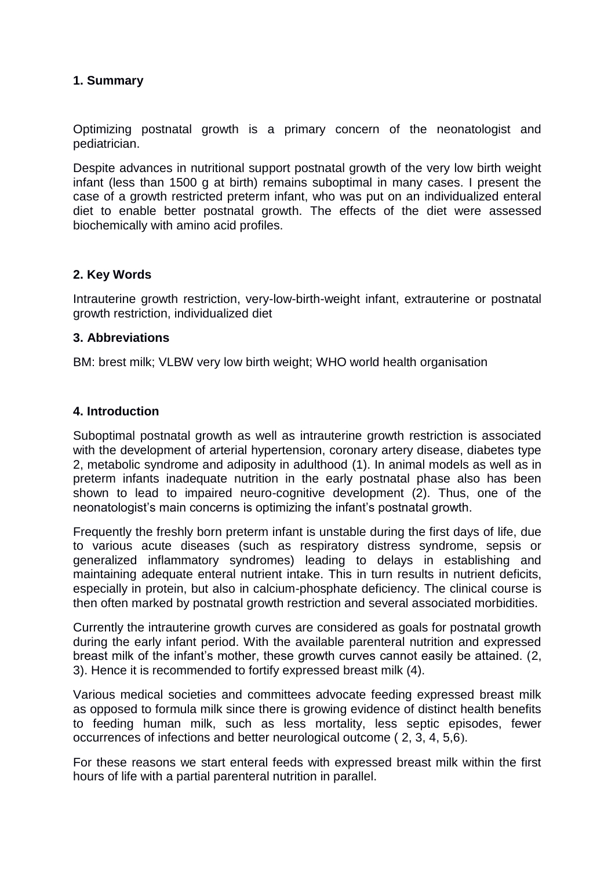#### **1. Summary**

Optimizing postnatal growth is a primary concern of the neonatologist and pediatrician.

Despite advances in nutritional support postnatal growth of the very low birth weight infant (less than 1500 g at birth) remains suboptimal in many cases. I present the case of a growth restricted preterm infant, who was put on an individualized enteral diet to enable better postnatal growth. The effects of the diet were assessed biochemically with amino acid profiles.

#### **2. Key Words**

Intrauterine growth restriction, very-low-birth-weight infant, extrauterine or postnatal growth restriction, individualized diet

#### **3. Abbreviations**

BM: brest milk; VLBW very low birth weight; WHO world health organisation

#### **4. Introduction**

Suboptimal postnatal growth as well as intrauterine growth restriction is associated with the development of arterial hypertension, coronary artery disease, diabetes type 2, metabolic syndrome and adiposity in adulthood (1). In animal models as well as in preterm infants inadequate nutrition in the early postnatal phase also has been shown to lead to impaired neuro-cognitive development (2). Thus, one of the neonatologist's main concerns is optimizing the infant's postnatal growth.

Frequently the freshly born preterm infant is unstable during the first days of life, due to various acute diseases (such as respiratory distress syndrome, sepsis or generalized inflammatory syndromes) leading to delays in establishing and maintaining adequate enteral nutrient intake. This in turn results in nutrient deficits, especially in protein, but also in calcium-phosphate deficiency. The clinical course is then often marked by postnatal growth restriction and several associated morbidities.

Currently the intrauterine growth curves are considered as goals for postnatal growth during the early infant period. With the available parenteral nutrition and expressed breast milk of the infant's mother, these growth curves cannot easily be attained. (2, 3). Hence it is recommended to fortify expressed breast milk (4).

Various medical societies and committees advocate feeding expressed breast milk as opposed to formula milk since there is growing evidence of distinct health benefits to feeding human milk, such as less mortality, less septic episodes, fewer occurrences of infections and better neurological outcome ( 2, 3, 4, 5,6).

For these reasons we start enteral feeds with expressed breast milk within the first hours of life with a partial parenteral nutrition in parallel.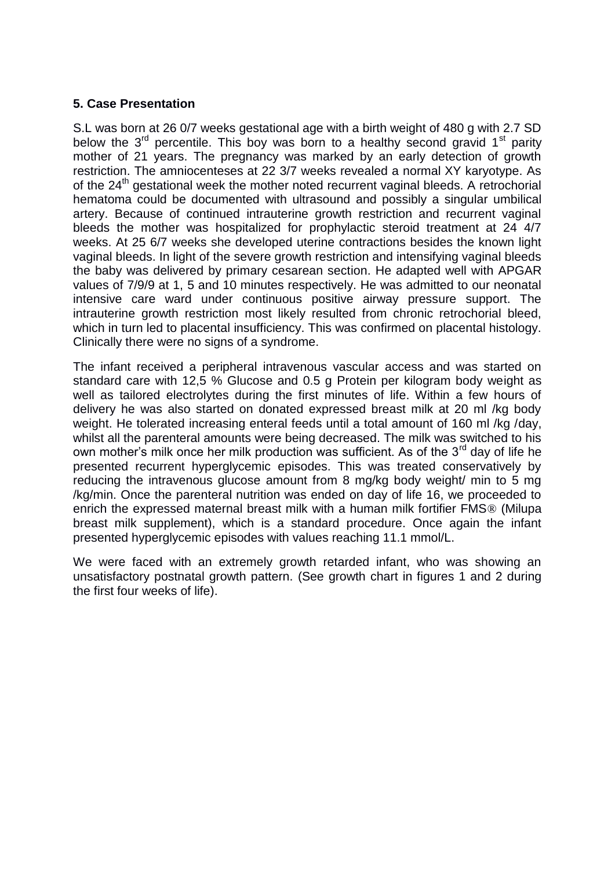#### **5. Case Presentation**

S.L was born at 26 0/7 weeks gestational age with a birth weight of 480 g with 2.7 SD below the  $3^{rd}$  percentile. This boy was born to a healthy second gravid  $1^{st}$  parity mother of 21 years. The pregnancy was marked by an early detection of growth restriction. The amniocenteses at 22 3/7 weeks revealed a normal XY karyotype. As of the  $24<sup>th</sup>$  gestational week the mother noted recurrent vaginal bleeds. A retrochorial hematoma could be documented with ultrasound and possibly a singular umbilical artery. Because of continued intrauterine growth restriction and recurrent vaginal bleeds the mother was hospitalized for prophylactic steroid treatment at 24 4/7 weeks. At 25 6/7 weeks she developed uterine contractions besides the known light vaginal bleeds. In light of the severe growth restriction and intensifying vaginal bleeds the baby was delivered by primary cesarean section. He adapted well with APGAR values of 7/9/9 at 1, 5 and 10 minutes respectively. He was admitted to our neonatal intensive care ward under continuous positive airway pressure support. The intrauterine growth restriction most likely resulted from chronic retrochorial bleed, which in turn led to placental insufficiency. This was confirmed on placental histology. Clinically there were no signs of a syndrome.

The infant received a peripheral intravenous vascular access and was started on standard care with 12,5 % Glucose and 0.5 g Protein per kilogram body weight as well as tailored electrolytes during the first minutes of life. Within a few hours of delivery he was also started on donated expressed breast milk at 20 ml /kg body weight. He tolerated increasing enteral feeds until a total amount of 160 ml /kg /day, whilst all the parenteral amounts were being decreased. The milk was switched to his own mother's milk once her milk production was sufficient. As of the 3<sup>rd</sup> day of life he presented recurrent hyperglycemic episodes. This was treated conservatively by reducing the intravenous glucose amount from 8 mg/kg body weight/ min to 5 mg /kg/min. Once the parenteral nutrition was ended on day of life 16, we proceeded to enrich the expressed maternal breast milk with a human milk fortifier FMS® (Milupa breast milk supplement), which is a standard procedure. Once again the infant presented hyperglycemic episodes with values reaching 11.1 mmol/L.

We were faced with an extremely growth retarded infant, who was showing an unsatisfactory postnatal growth pattern. (See growth chart in figures 1 and 2 during the first four weeks of life).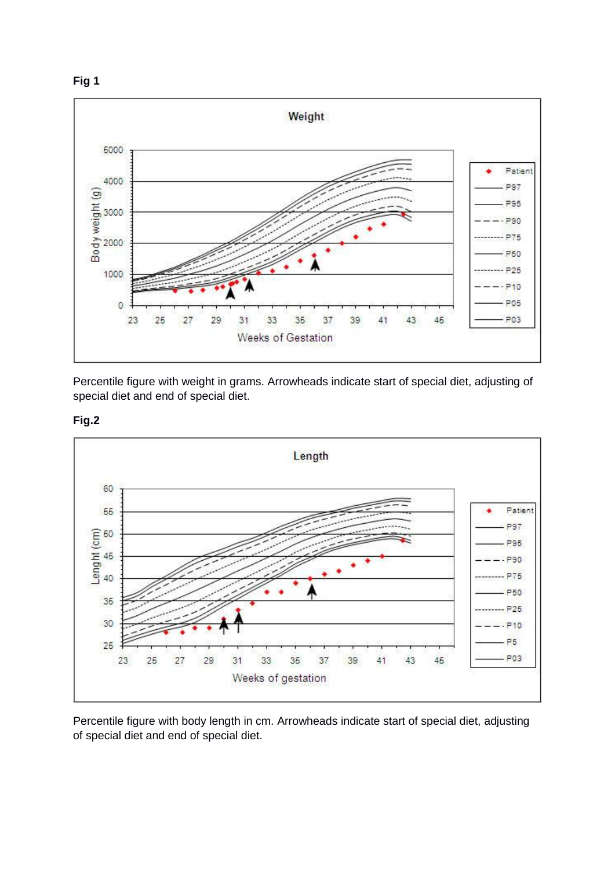



Percentile figure with weight in grams. Arrowheads indicate start of special diet, adjusting of special diet and end of special diet.





Percentile figure with body length in cm. Arrowheads indicate start of special diet, adjusting of special diet and end of special diet.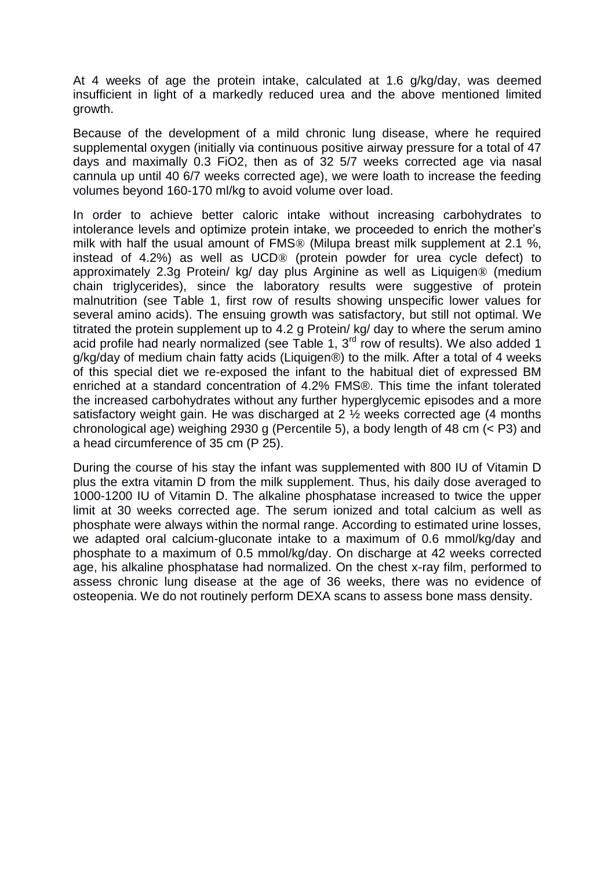At 4 weeks of age the protein intake, calculated at 1.6 g/kg/day, was deemed insufficient in light of a markedly reduced urea and the above mentioned limited growth.

Because of the development of a mild chronic lung disease, where he required supplemental oxygen (initially via continuous positive airway pressure for a total of 47 days and maximally 0.3 FiO2, then as of 32 5/7 weeks corrected age via nasal cannula up until 40 6/7 weeks corrected age), we were loath to increase the feeding volumes beyond 160-170 ml/kg to avoid volume over load.

In order to achieve better caloric intake without increasing carbohydrates to intolerance levels and optimize protein intake, we proceeded to enrich the mother's milk with half the usual amount of FMS® (Milupa breast milk supplement at 2.1 %, instead of 4.2%) as well as UCD® (protein powder for urea cycle defect) to approximately 2.3g Protein/ kg/ day plus Arginine as well as Liquigen® (medium chain triglycerides), since the laboratory results were suggestive of protein malnutrition (see Table 1, first row of results showing unspecific lower values for several amino acids). The ensuing growth was satisfactory, but still not optimal. We titrated the protein supplement up to 4.2 g Protein/ kg/ day to where the serum amino acid profile had nearly normalized (see Table 1,  $3<sup>rd</sup>$  row of results). We also added 1 g/kg/day of medium chain fatty acids (Liquigen®) to the milk. After a total of 4 weeks of this special diet we re-exposed the infant to the habitual diet of expressed BM enriched at a standard concentration of 4.2% FMS®. This time the infant tolerated the increased carbohydrates without any further hyperglycemic episodes and a more satisfactory weight gain. He was discharged at 2 ½ weeks corrected age (4 months chronological age) weighing 2930 g (Percentile 5), a body length of 48 cm (< P3) and a head circumference of 35 cm (P 25).

During the course of his stay the infant was supplemented with 800 IU of Vitamin D plus the extra vitamin D from the milk supplement. Thus, his daily dose averaged to 1000-1200 IU of Vitamin D. The alkaline phosphatase increased to twice the upper limit at 30 weeks corrected age. The serum ionized and total calcium as well as phosphate were always within the normal range. According to estimated urine losses, we adapted oral calcium-gluconate intake to a maximum of 0.6 mmol/kg/day and phosphate to a maximum of 0.5 mmol/kg/day. On discharge at 42 weeks corrected age, his alkaline phosphatase had normalized. On the chest x-ray film, performed to assess chronic lung disease at the age of 36 weeks, there was no evidence of osteopenia. We do not routinely perform DEXA scans to assess bone mass density.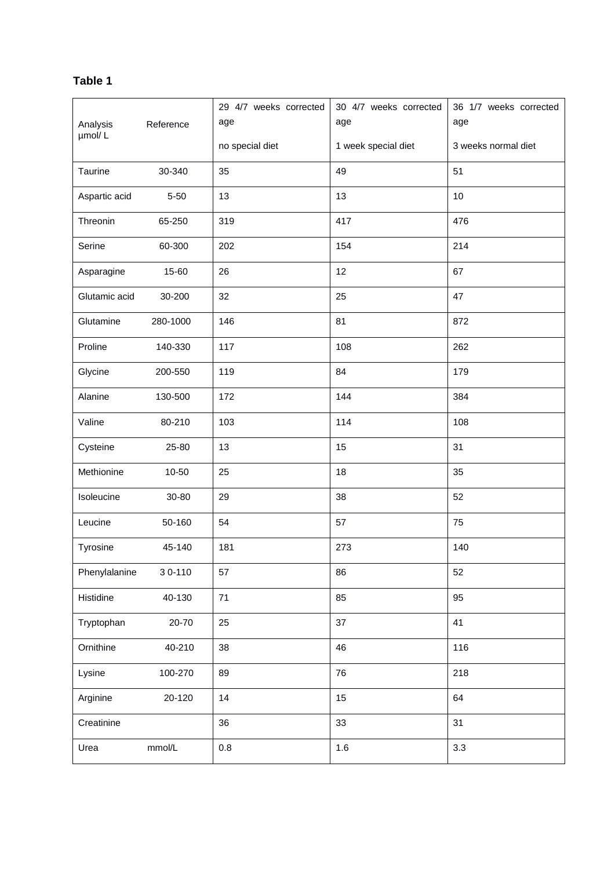# **Table 1**

|                    |           | 29 4/7 weeks corrected | 30 4/7 weeks corrected | 36 1/7 weeks corrected |
|--------------------|-----------|------------------------|------------------------|------------------------|
| Analysis<br>µmol/L | Reference | age                    | age                    | age                    |
|                    |           | no special diet        | 1 week special diet    | 3 weeks normal diet    |
| Taurine            | 30-340    | 35                     | 49                     | 51                     |
| Aspartic acid      | $5 - 50$  | 13                     | 13                     | 10                     |
| Threonin           | 65-250    | 319                    | 417                    | 476                    |
| Serine             | 60-300    | 202                    | 154                    | 214                    |
| Asparagine         | 15-60     | 26                     | 12                     | 67                     |
| Glutamic acid      | 30-200    | 32                     | 25                     | 47                     |
| Glutamine          | 280-1000  | 146                    | 81                     | 872                    |
| Proline            | 140-330   | 117                    | 108                    | 262                    |
| Glycine            | 200-550   | 119                    | 84                     | 179                    |
| Alanine            | 130-500   | 172                    | 144                    | 384                    |
| Valine             | 80-210    | 103                    | 114                    | 108                    |
| Cysteine           | 25-80     | 13                     | 15                     | 31                     |
| Methionine         | 10-50     | 25                     | 18                     | 35                     |
| Isoleucine         | 30-80     | 29                     | 38                     | 52                     |
| Leucine            | 50-160    | 54                     | 57                     | 75                     |
| Tyrosine           | 45-140    | 181                    | 273                    | 140                    |
| Phenylalanine      | 30-110    | 57                     | 86                     | 52                     |
| Histidine          | 40-130    | 71                     | 85                     | 95                     |
| Tryptophan         | 20-70     | 25                     | 37                     | 41                     |
| Ornithine          | 40-210    | 38                     | 46                     | 116                    |
| Lysine             | 100-270   | 89                     | 76                     | 218                    |
| Arginine           | 20-120    | 14                     | 15                     | 64                     |
| Creatinine         |           | 36                     | 33                     | 31                     |
| Urea               | mmol/L    | $0.8\,$                | 1.6                    | 3.3                    |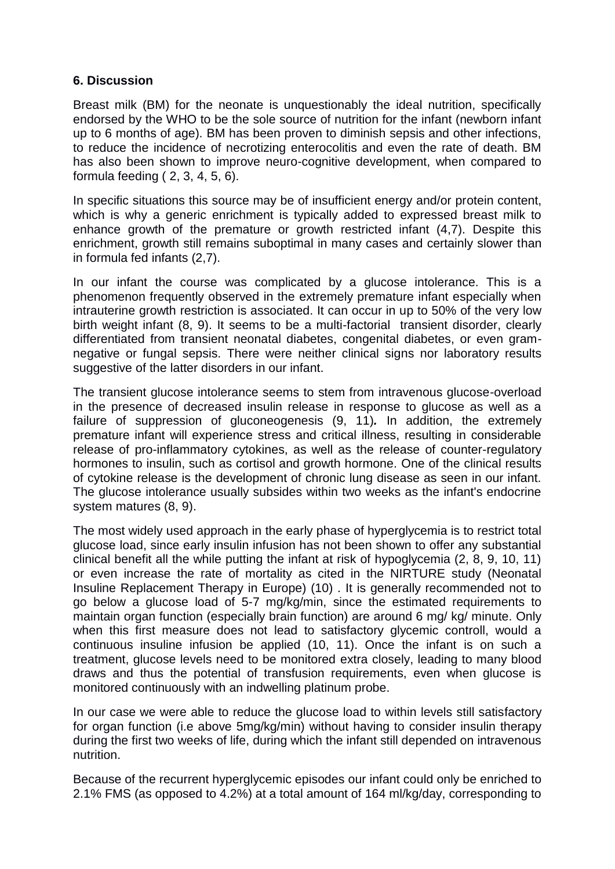#### **6. Discussion**

Breast milk (BM) for the neonate is unquestionably the ideal nutrition, specifically endorsed by the WHO to be the sole source of nutrition for the infant (newborn infant up to 6 months of age). BM has been proven to diminish sepsis and other infections, to reduce the incidence of necrotizing enterocolitis and even the rate of death. BM has also been shown to improve neuro-cognitive development, when compared to formula feeding ( 2, 3, 4, 5, 6).

In specific situations this source may be of insufficient energy and/or protein content, which is why a generic enrichment is typically added to expressed breast milk to enhance growth of the premature or growth restricted infant (4,7). Despite this enrichment, growth still remains suboptimal in many cases and certainly slower than in formula fed infants (2,7).

In our infant the course was complicated by a glucose intolerance. This is a phenomenon frequently observed in the extremely premature infant especially when intrauterine growth restriction is associated. It can occur in up to 50% of the very low birth weight infant (8, 9). It seems to be a multi-factorial transient disorder, clearly differentiated from transient neonatal diabetes, congenital diabetes, or even gramnegative or fungal sepsis. There were neither clinical signs nor laboratory results suggestive of the latter disorders in our infant.

The transient glucose intolerance seems to stem from intravenous glucose-overload in the presence of decreased insulin release in response to glucose as well as a failure of suppression of gluconeogenesis (9, 11)*.* In addition, the extremely premature infant will experience stress and critical illness, resulting in considerable release of pro-inflammatory cytokines, as well as the release of counter-regulatory hormones to insulin, such as cortisol and growth hormone. One of the clinical results of cytokine release is the development of chronic lung disease as seen in our infant. The glucose intolerance usually subsides within two weeks as the infant's endocrine system matures (8, 9).

The most widely used approach in the early phase of hyperglycemia is to restrict total glucose load, since early insulin infusion has not been shown to offer any substantial clinical benefit all the while putting the infant at risk of hypoglycemia (2, 8, 9, 10, 11) or even increase the rate of mortality as cited in the NIRTURE study (Neonatal Insuline Replacement Therapy in Europe) (10) . It is generally recommended not to go below a glucose load of 5-7 mg/kg/min, since the estimated requirements to maintain organ function (especially brain function) are around 6 mg/ kg/ minute. Only when this first measure does not lead to satisfactory glycemic controll, would a continuous insuline infusion be applied (10, 11). Once the infant is on such a treatment, glucose levels need to be monitored extra closely, leading to many blood draws and thus the potential of transfusion requirements, even when glucose is monitored continuously with an indwelling platinum probe.

In our case we were able to reduce the glucose load to within levels still satisfactory for organ function (i.e above 5mg/kg/min) without having to consider insulin therapy during the first two weeks of life, during which the infant still depended on intravenous nutrition.

Because of the recurrent hyperglycemic episodes our infant could only be enriched to 2.1% FMS (as opposed to 4.2%) at a total amount of 164 ml/kg/day, corresponding to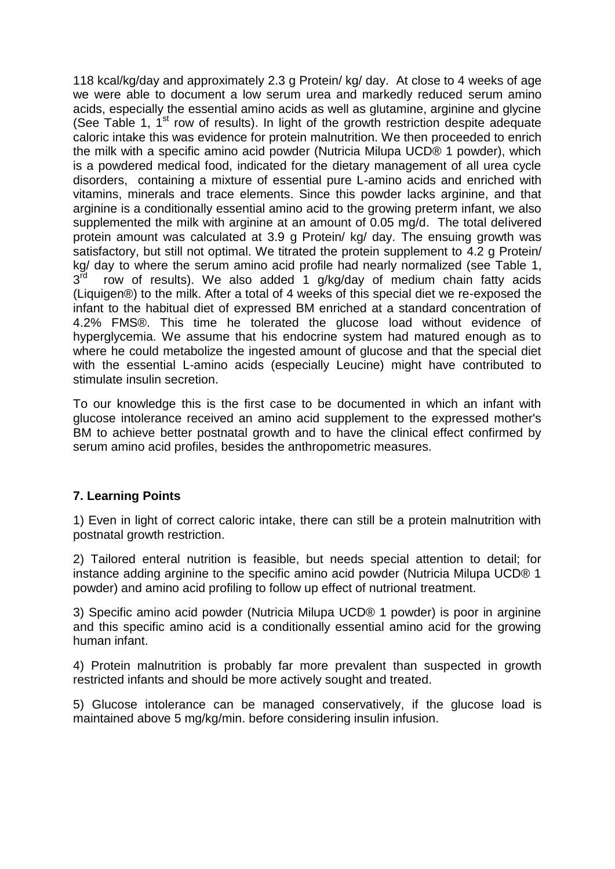118 kcal/kg/day and approximately 2.3 g Protein/ kg/ day. At close to 4 weeks of age we were able to document a low serum urea and markedly reduced serum amino acids, especially the essential amino acids as well as glutamine, arginine and glycine (See Table 1,  $1<sup>st</sup>$  row of results). In light of the growth restriction despite adequate caloric intake this was evidence for protein malnutrition. We then proceeded to enrich the milk with a specific amino acid powder (Nutricia Milupa UCD® 1 powder), which is a powdered medical food, indicated for the dietary management of all urea cycle disorders, containing a mixture of essential pure L-amino acids and enriched with vitamins, minerals and trace elements. Since this powder lacks arginine, and that arginine is a conditionally essential amino acid to the growing preterm infant, we also supplemented the milk with arginine at an amount of 0.05 mg/d. The total delivered protein amount was calculated at 3.9 g Protein/ kg/ day. The ensuing growth was satisfactory, but still not optimal. We titrated the protein supplement to 4.2 g Protein/ kg/ day to where the serum amino acid profile had nearly normalized (see Table 1,  $3^{\bar{r}d}$  row of results). We also added 1 g/kg/day of medium chain fatty acids (Liquigen®) to the milk. After a total of 4 weeks of this special diet we re-exposed the infant to the habitual diet of expressed BM enriched at a standard concentration of 4.2% FMS®. This time he tolerated the glucose load without evidence of hyperglycemia. We assume that his endocrine system had matured enough as to where he could metabolize the ingested amount of glucose and that the special diet with the essential L-amino acids (especially Leucine) might have contributed to stimulate insulin secretion.

To our knowledge this is the first case to be documented in which an infant with glucose intolerance received an amino acid supplement to the expressed mother's BM to achieve better postnatal growth and to have the clinical effect confirmed by serum amino acid profiles, besides the anthropometric measures.

## **7. Learning Points**

1) Even in light of correct caloric intake, there can still be a protein malnutrition with postnatal growth restriction.

2) Tailored enteral nutrition is feasible, but needs special attention to detail; for instance adding arginine to the specific amino acid powder (Nutricia Milupa UCD® 1 powder) and amino acid profiling to follow up effect of nutrional treatment.

3) Specific amino acid powder (Nutricia Milupa UCD® 1 powder) is poor in arginine and this specific amino acid is a conditionally essential amino acid for the growing human infant.

4) Protein malnutrition is probably far more prevalent than suspected in growth restricted infants and should be more actively sought and treated.

5) Glucose intolerance can be managed conservatively, if the glucose load is maintained above 5 mg/kg/min. before considering insulin infusion.